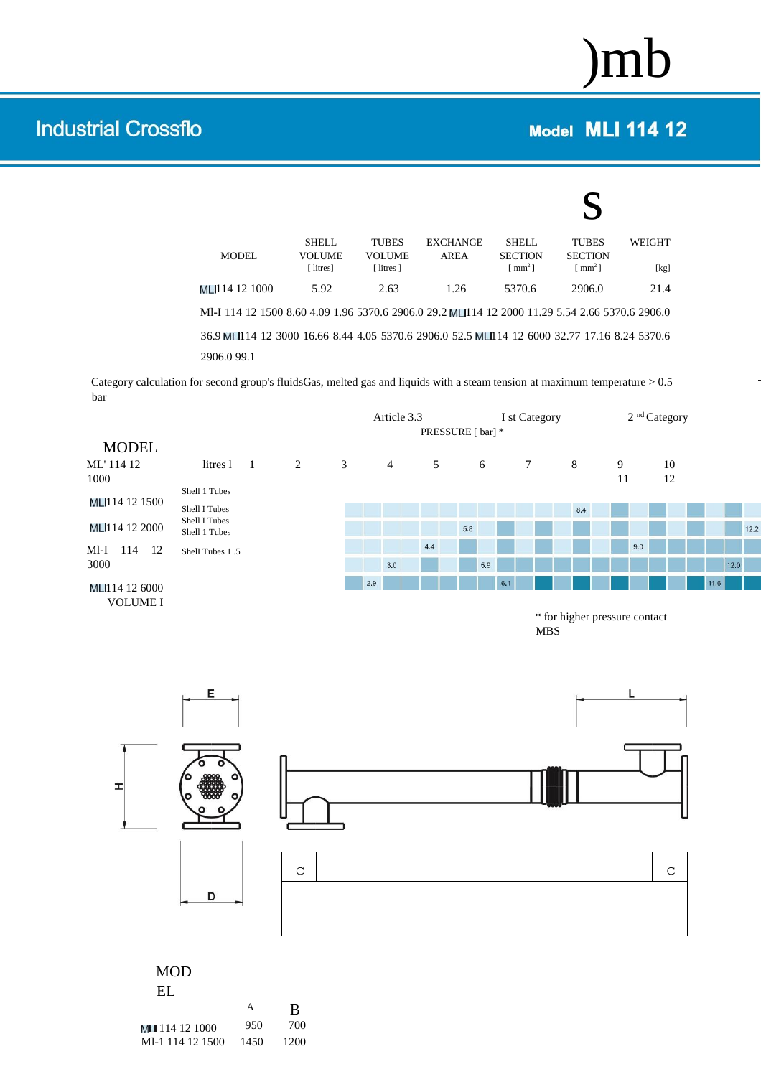## )mb

## **Model MLI 114 12**

## **Industrial Crossflo**

| <b>MODEL</b>                                                                                                | <b>SHELL</b><br><b>VOLUME</b><br>[ litres] | <b>TUBES</b><br><b>VOLUME</b><br>[ litres ] | <b>EXCHANGE</b><br>AREA | <b>SHELL</b><br><b>SECTION</b><br>$\lceil$ mm <sup>2</sup> $\rceil$ | <b>TUBES</b><br><b>SECTION</b><br>$\lceil$ mm <sup>2</sup> $\rceil$ | <b>WEIGHT</b><br>[kg] |
|-------------------------------------------------------------------------------------------------------------|--------------------------------------------|---------------------------------------------|-------------------------|---------------------------------------------------------------------|---------------------------------------------------------------------|-----------------------|
| MLI114 12 1000                                                                                              | 5.92                                       | 2.63                                        | 1.26                    | 5370.6                                                              | 2906.0                                                              | 21.4                  |
| Ml-I 114 12 1500 8.60 4.09 1.96 5370.6 2906.0 29.2 MLI114 12 2000 11.29 5.54 2.66 5370.6 2906.0             |                                            |                                             |                         |                                                                     |                                                                     |                       |
| 36.9 MLI114 12 3000 16.66 8.44 4.05 5370.6 2906.0 52.5 MLI114 12 6000 32.77 17.16 8.24 5370.6<br>2906.099.1 |                                            |                                             |                         |                                                                     |                                                                     |                       |
|                                                                                                             |                                            |                                             |                         |                                                                     |                                                                     |                       |

Category calculation for second group's fluidsGas, melted gas and liquids with a steam tension at maximum temperature  $> 0.5$ bar

|                   |                                |                          |   |   |     |                | Article 3.3 |     |                   |     |     |     | I st Category     |   |     |   | 2 <sup>nd</sup> Category |          |      |      |      |
|-------------------|--------------------------------|--------------------------|---|---|-----|----------------|-------------|-----|-------------------|-----|-----|-----|-------------------|---|-----|---|--------------------------|----------|------|------|------|
|                   |                                |                          |   |   |     |                |             |     | PRESSURE [ bar] * |     |     |     |                   |   |     |   |                          |          |      |      |      |
| <b>MODEL</b>      |                                |                          |   |   |     |                |             |     |                   |     |     |     |                   |   |     |   |                          |          |      |      |      |
| ML'114 12<br>1000 | litres 1                       | $\overline{\phantom{a}}$ | 2 | 3 |     | $\overline{4}$ |             | 5   |                   |     | 6   |     | $7\phantom{.0}\,$ |   | 8   | 9 | 11                       | 10<br>12 |      |      |      |
|                   | Shell 1 Tubes                  |                          |   |   |     |                |             |     |                   |     |     |     |                   |   |     |   |                          |          |      |      |      |
| MLI114 12 1500    | Shell I Tubes                  |                          |   |   |     |                |             |     |                   |     |     |     |                   |   | 8.4 |   |                          |          |      |      |      |
| MLI114 12 2000    | Shell I Tubes<br>Shell 1 Tubes |                          |   |   |     |                |             |     |                   | 5.8 |     |     |                   |   |     |   |                          |          |      |      | 12.2 |
| Ml-I<br>114<br>12 | Shell Tubes 1.5                |                          |   |   |     |                |             | 4.4 |                   |     |     |     |                   |   |     |   | 9.0                      |          |      |      |      |
| 3000              |                                |                          |   |   |     | 3.0            |             |     |                   |     | 5.9 |     |                   |   |     |   |                          |          |      | 12.0 |      |
| MLI114 12 6000    |                                |                          |   |   | 2.9 |                |             |     |                   |     |     | 6.1 |                   |   |     |   |                          |          | 11.6 |      |      |
| <b>VOLUME I</b>   |                                |                          |   |   |     |                |             |     |                   |     |     |     |                   | . |     |   |                          |          |      |      |      |

\* for higher pressure contact MBS



## MOD EL

| .                |      |      |
|------------------|------|------|
|                  | А    | B    |
| MLI 114 12 1000  | 950  | 700  |
| MI-1 114 12 1500 | 1450 | 1200 |